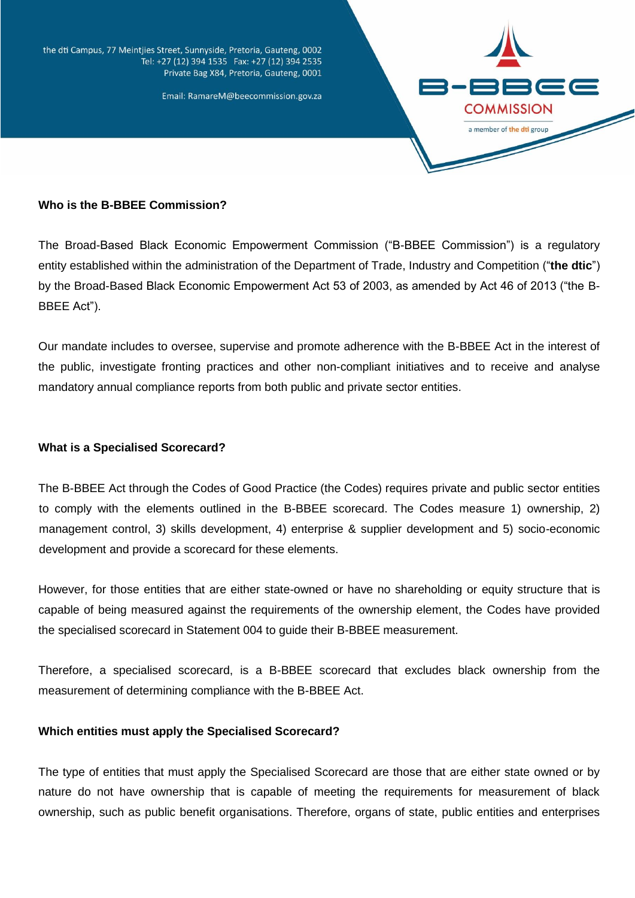the dti Campus, 77 Meintjies Street, Sunnyside, Pretoria, Gauteng, 0002 Tel: +27 (12) 394 1535 Fax: +27 (12) 394 2535 Private Bag X84, Pretoria, Gauteng, 0001

Email: RamareM@beecommission.gov.za



### **Who is the B-BBEE Commission?**

The Broad-Based Black Economic Empowerment Commission ("B-BBEE Commission") is a regulatory entity established within the administration of the Department of Trade, Industry and Competition ("**the dtic**") by the Broad-Based Black Economic Empowerment Act 53 of 2003, as amended by Act 46 of 2013 ("the B-BBEE Act").

Our mandate includes to oversee, supervise and promote adherence with the B-BBEE Act in the interest of the public, investigate fronting practices and other non-compliant initiatives and to receive and analyse mandatory annual compliance reports from both public and private sector entities.

### **What is a Specialised Scorecard?**

The B-BBEE Act through the Codes of Good Practice (the Codes) requires private and public sector entities to comply with the elements outlined in the B-BBEE scorecard. The Codes measure 1) ownership, 2) management control, 3) skills development, 4) enterprise & supplier development and 5) socio-economic development and provide a scorecard for these elements.

However, for those entities that are either state-owned or have no shareholding or equity structure that is capable of being measured against the requirements of the ownership element, the Codes have provided the specialised scorecard in Statement 004 to guide their B-BBEE measurement.

Therefore, a specialised scorecard, is a B-BBEE scorecard that excludes black ownership from the measurement of determining compliance with the B-BBEE Act.

#### **Which entities must apply the Specialised Scorecard?**

The type of entities that must apply the Specialised Scorecard are those that are either state owned or by nature do not have ownership that is capable of meeting the requirements for measurement of black ownership, such as public benefit organisations. Therefore, organs of state, public entities and enterprises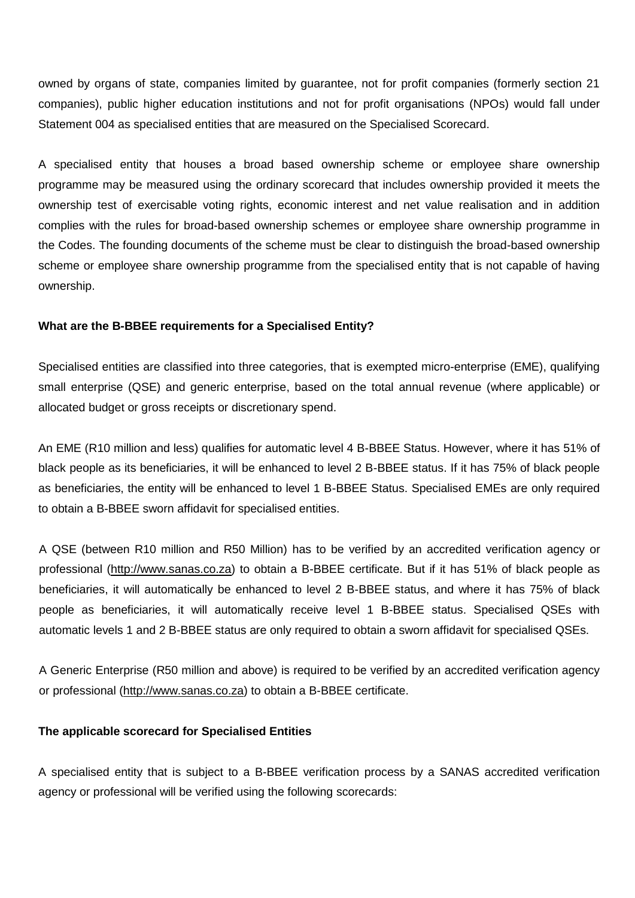owned by organs of state, companies limited by guarantee, not for profit companies (formerly section 21 companies), public higher education institutions and not for profit organisations (NPOs) would fall under Statement 004 as specialised entities that are measured on the Specialised Scorecard.

A specialised entity that houses a broad based ownership scheme or employee share ownership programme may be measured using the ordinary scorecard that includes ownership provided it meets the ownership test of exercisable voting rights, economic interest and net value realisation and in addition complies with the rules for broad-based ownership schemes or employee share ownership programme in the Codes. The founding documents of the scheme must be clear to distinguish the broad-based ownership scheme or employee share ownership programme from the specialised entity that is not capable of having ownership.

### **What are the B-BBEE requirements for a Specialised Entity?**

Specialised entities are classified into three categories, that is exempted micro-enterprise (EME), qualifying small enterprise (QSE) and generic enterprise, based on the total annual revenue (where applicable) or allocated budget or gross receipts or discretionary spend.

An EME (R10 million and less) qualifies for automatic level 4 B-BBEE Status. However, where it has 51% of black people as its beneficiaries, it will be enhanced to level 2 B-BBEE status. If it has 75% of black people as beneficiaries, the entity will be enhanced to level 1 B-BBEE Status. Specialised EMEs are only required to obtain a B-BBEE sworn affidavit for specialised entities.

A QSE (between R10 million and R50 Million) has to be verified by an accredited verification agency or professional [\(http://www.sanas.co.za\)](http://www.sanas.co.za/) to obtain a B-BBEE certificate. But if it has 51% of black people as beneficiaries, it will automatically be enhanced to level 2 B-BBEE status, and where it has 75% of black people as beneficiaries, it will automatically receive level 1 B-BBEE status. Specialised QSEs with automatic levels 1 and 2 B-BBEE status are only required to obtain a sworn affidavit for specialised QSEs.

A Generic Enterprise (R50 million and above) is required to be verified by an accredited verification agency or professional [\(http://www.sanas.co.za\)](http://www.sanas.co.za/) to obtain a B-BBEE certificate.

#### **The applicable scorecard for Specialised Entities**

A specialised entity that is subject to a B-BBEE verification process by a SANAS accredited verification agency or professional will be verified using the following scorecards: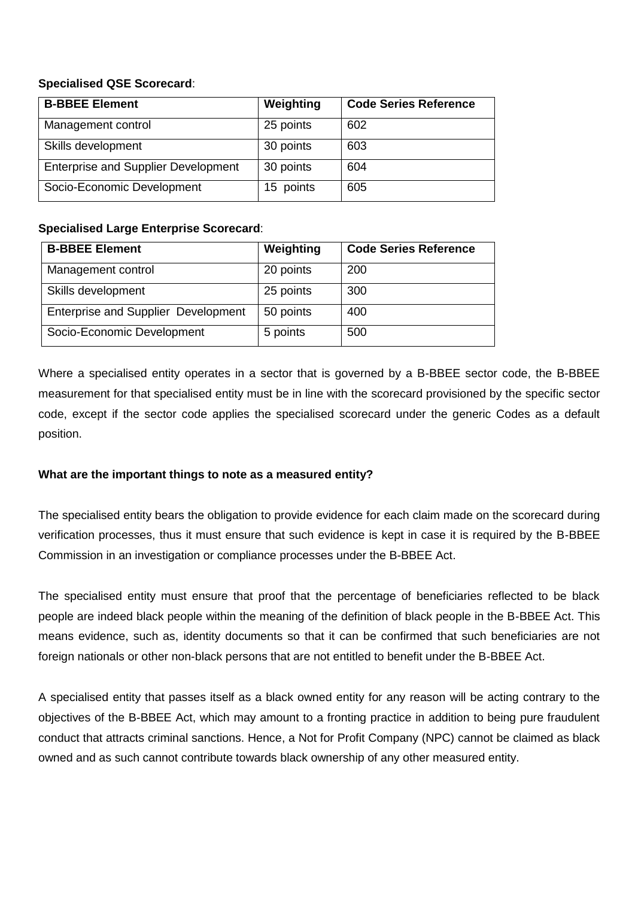# **Specialised QSE Scorecard**:

| <b>B-BBEE Element</b>                      | Weighting | <b>Code Series Reference</b> |
|--------------------------------------------|-----------|------------------------------|
| Management control                         | 25 points | 602                          |
| Skills development                         | 30 points | 603                          |
| <b>Enterprise and Supplier Development</b> | 30 points | 604                          |
| Socio-Economic Development                 | 15 points | 605                          |

# **Specialised Large Enterprise Scorecard**:

| <b>B-BBEE Element</b>                      | Weighting | <b>Code Series Reference</b> |
|--------------------------------------------|-----------|------------------------------|
| Management control                         | 20 points | 200                          |
| Skills development                         | 25 points | 300                          |
| <b>Enterprise and Supplier Development</b> | 50 points | 400                          |
| Socio-Economic Development                 | 5 points  | 500                          |

Where a specialised entity operates in a sector that is governed by a B-BBEE sector code, the B-BBEE measurement for that specialised entity must be in line with the scorecard provisioned by the specific sector code, except if the sector code applies the specialised scorecard under the generic Codes as a default position.

# **What are the important things to note as a measured entity?**

The specialised entity bears the obligation to provide evidence for each claim made on the scorecard during verification processes, thus it must ensure that such evidence is kept in case it is required by the B-BBEE Commission in an investigation or compliance processes under the B-BBEE Act.

The specialised entity must ensure that proof that the percentage of beneficiaries reflected to be black people are indeed black people within the meaning of the definition of black people in the B-BBEE Act. This means evidence, such as, identity documents so that it can be confirmed that such beneficiaries are not foreign nationals or other non-black persons that are not entitled to benefit under the B-BBEE Act.

A specialised entity that passes itself as a black owned entity for any reason will be acting contrary to the objectives of the B-BBEE Act, which may amount to a fronting practice in addition to being pure fraudulent conduct that attracts criminal sanctions. Hence, a Not for Profit Company (NPC) cannot be claimed as black owned and as such cannot contribute towards black ownership of any other measured entity.